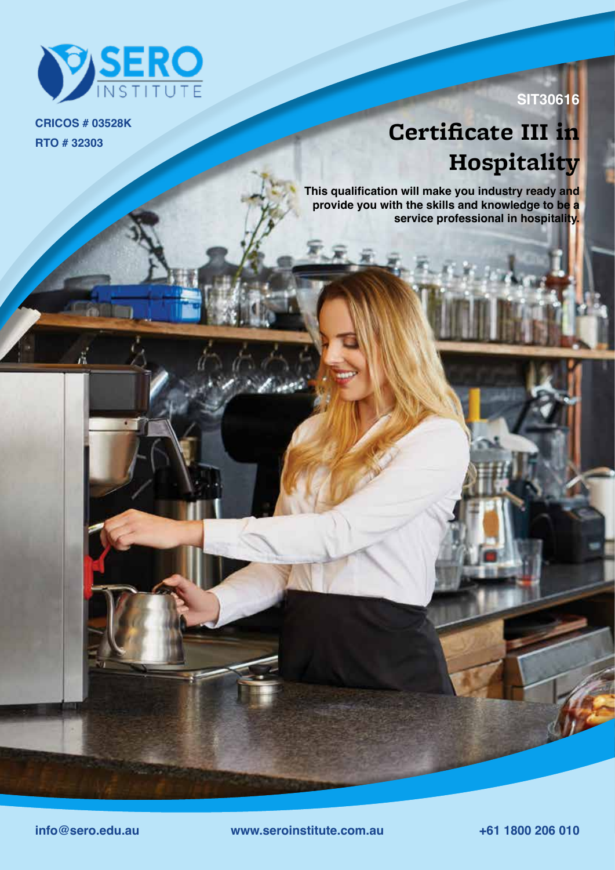

**RTO # 32303 CRICOS # 03528K**

### **SIT30616**

# **Certificate III in Hospitality**

**This qualification will make you industry ready and provide you with the skills and knowledge to be a service professional in hospitality.**

**info@sero.edu.au www.seroinstitute.com.au +61 1800 206 010**